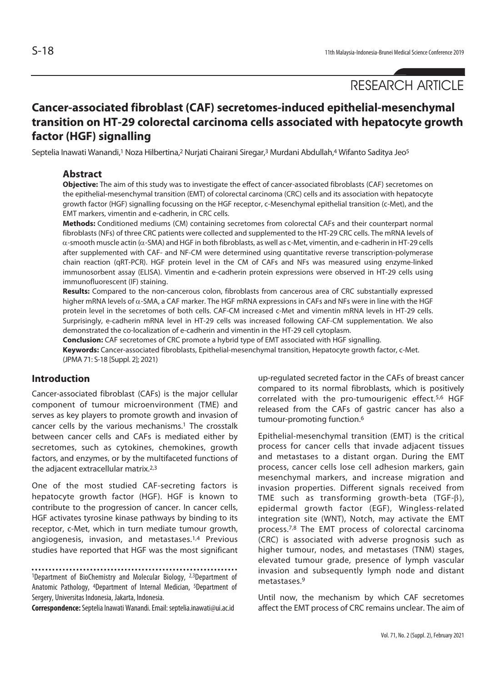# RESEARCH ARTICLE

## **Cancer-associated fibroblast (CAF) secretomes-induced epithelial-mesenchymal transition on HT-29 colorectal carcinoma cells associated with hepatocyte growth factor (HGF) signalling**

Septelia Inawati Wanandi,<sup>1</sup> Noza Hilbertina,<sup>2</sup> Nurjati Chairani Siregar,<sup>3</sup> Murdani Abdullah,<sup>4</sup> Wifanto Saditya Jeo<sup>5</sup>

#### **Abstract**

**Objective:** The aim of this study was to investigate the effect of cancer-associated fibroblasts (CAF) secretomes on the epithelial-mesenchymal transition (EMT) of colorectal carcinoma (CRC) cells and its association with hepatocyte growth factor (HGF) signalling focussing on the HGF receptor, c-Mesenchymal epithelial transition (c-Met), and the EMT markers, vimentin and e-cadherin, in CRC cells.

**Methods:** Conditioned mediums (CM) containing secretomes from colorectal CAFs and their counterpart normal fibroblasts (NFs) of three CRC patients were collected and supplemented to the HT-29 CRC cells. The mRNA levels of α-smooth muscle actin (α-SMA) and HGF in both fibroblasts, as well as c-Met, vimentin, and e-cadherin in HT-29 cells after supplemented with CAF- and NF-CM were determined using quantitative reverse transcription-polymerase chain reaction (qRT-PCR). HGF protein level in the CM of CAFs and NFs was measured using enzyme-linked immunosorbent assay (ELISA). Vimentin and e-cadherin protein expressions were observed in HT-29 cells using immunofluorescent (IF) staining.

**Results:** Compared to the non-cancerous colon, fibroblasts from cancerous area of CRC substantially expressed higher mRNA levels of  $\alpha$ -SMA, a CAF marker. The HGF mRNA expressions in CAFs and NFs were in line with the HGF protein level in the secretomes of both cells. CAF-CM increased c-Met and vimentin mRNA levels in HT-29 cells. Surprisingly, e-cadherin mRNA level in HT-29 cells was increased following CAF-CM supplementation. We also demonstrated the co-localization of e-cadherin and vimentin in the HT-29 cell cytoplasm.

**Conclusion:** CAF secretomes of CRC promote a hybrid type of EMT associated with HGF signalling.

**Keywords:** Cancer-associated fibroblasts, Epithelial-mesenchymal transition, Hepatocyte growth factor, c-Met. (JPMA 71: S-18 [Suppl. 2]; 2021)

### **Introduction**

Cancer-associated fibroblast (CAFs) is the major cellular component of tumour microenvironment (TME) and serves as key players to promote growth and invasion of cancer cells by the various mechanisms.<sup>1</sup> The crosstalk between cancer cells and CAFs is mediated either by secretomes, such as cytokines, chemokines, growth factors, and enzymes, or by the multifaceted functions of the adjacent extracellular matrix.<sup>2,3</sup>

One of the most studied CAF-secreting factors is hepatocyte growth factor (HGF). HGF is known to contribute to the progression of cancer. In cancer cells, HGF activates tyrosine kinase pathways by binding to its receptor, c-Met, which in turn mediate tumour growth, angiogenesis, invasion, and metastases.1,4 Previous studies have reported that HGF was the most significant

<sup>1</sup>Department of BioChemistry and Molecular Biology, <sup>2,3</sup>Department of Anatomic Pathology, 4Department of Internal Medician, 5Department of Sergery, Universitas Indonesia, Jakarta, Indonesia.

**Correspondence:** Septelia Inawati Wanandi. Email: septelia.inawati@ui.ac.id

up-regulated secreted factor in the CAFs of breast cancer compared to its normal fibroblasts, which is positively correlated with the pro-tumourigenic effect.5,6 HGF released from the CAFs of gastric cancer has also a tumour-promoting function.6

Epithelial-mesenchymal transition (EMT) is the critical process for cancer cells that invade adjacent tissues and metastases to a distant organ. During the EMT process, cancer cells lose cell adhesion markers, gain mesenchymal markers, and increase migration and invasion properties. Different signals received from TME such as transforming growth-beta (TGF-β), epidermal growth factor (EGF), Wingless-related integration site (WNT), Notch, may activate the EMT process.7,8 The EMT process of colorectal carcinoma (CRC) is associated with adverse prognosis such as higher tumour, nodes, and metastases (TNM) stages, elevated tumour grade, presence of lymph vascular invasion and subsequently lymph node and distant metastases.9

Until now, the mechanism by which CAF secretomes affect the EMT process of CRC remains unclear. The aim of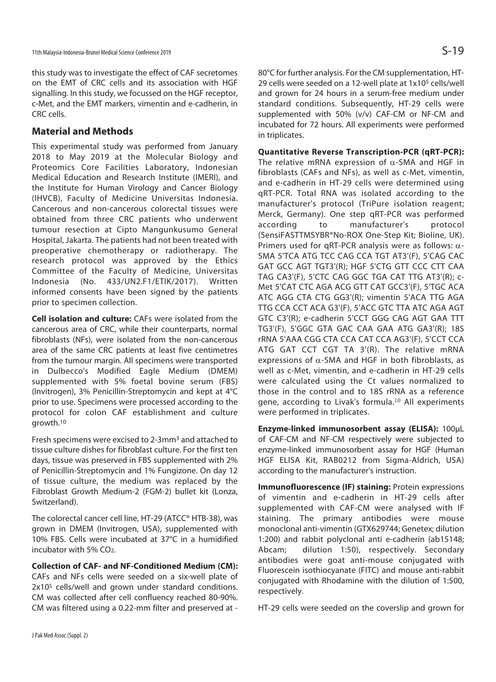this study was to investigate the effect of CAF secretomes on the EMT of CRC cells and its association with HGF signalling. In this study, we focussed on the HGF receptor, c-Met, and the EMT markers, vimentin and e-cadherin, in CRC cells.

## **Material and Methods**

This experimental study was performed from January 2018 to May 2019 at the Molecular Biology and Proteomics Core Facilities Laboratory, Indonesian Medical Education and Research Institute (IMERI), and the Institute for Human Virology and Cancer Biology (IHVCB), Faculty of Medicine Universitas Indonesia. Cancerous and non-cancerous colorectal tissues were obtained from three CRC patients who underwent tumour resection at Cipto Mangunkusumo General Hospital, Jakarta. The patients had not been treated with preoperative chemotherapy or radiotherapy. The research protocol was approved by the Ethics Committee of the Faculty of Medicine, Universitas Indonesia (No. 433/UN2.F1/ETIK/2017). Written informed consents have been signed by the patients prior to specimen collection.

**Cell isolation and culture:** CAFs were isolated from the cancerous area of CRC, while their counterparts, normal fibroblasts (NFs), were isolated from the non-cancerous area of the same CRC patients at least five centimetres from the tumour margin. All specimens were transported in Dulbecco's Modified Eagle Medium (DMEM) supplemented with 5% foetal bovine serum (FBS) (Invitrogen), 3% Penicillin-Streptomycin and kept at 4°C prior to use. Specimens were processed according to the protocol for colon CAF establishment and culture growth.10

Fresh specimens were excised to 2-3mm3 and attached to tissue culture dishes for fibroblast culture. For the first ten days, tissue was preserved in FBS supplemented with 2% of Penicillin-Streptomycin and 1% Fungizone. On day 12 of tissue culture, the medium was replaced by the Fibroblast Growth Medium-2 (FGM-2) bullet kit (Lonza, Switzerland).

The colorectal cancer cell line, HT-29 (ATCC® HTB-38), was grown in DMEM (Invitrogen, USA), supplemented with 10% FBS. Cells were incubated at 37°C in a humidified incubator with 5% CO2.

**Collection of CAF- and NF-Conditioned Medium (CM):** CAFs and NFs cells were seeded on a six-well plate of 2x10<sup>5</sup> cells/well and grown under standard conditions. CM was collected after cell confluency reached 80-90%. CM was filtered using a 0.22-mm filter and preserved at -

80°C for further analysis. For the CM supplementation, HT-29 cells were seeded on a 12-well plate at 1x105 cells/well and grown for 24 hours in a serum-free medium under standard conditions. Subsequently, HT-29 cells were supplemented with 50% (v/v) CAF-CM or NF-CM and incubated for 72 hours. All experiments were performed in triplicates.

#### **Quantitative Reverse Transcription-PCR (qRT-PCR):**

The relative mRNA expression of  $\alpha$ -SMA and HGF in fibroblasts (CAFs and NFs), as well as c-Met, vimentin, and e-cadherin in HT-29 cells were determined using qRT-PCR. Total RNA was isolated according to the manufacturer's protocol (TriPure isolation reagent; Merck, Germany). One step qRT-PCR was performed according to manufacturer's protocol (SensiFASTTMSYBR®No-ROX One-Step Kit; Bioline, UK). Primers used for qRT-PCR analysis were as follows:  $\alpha$ -SMA 5'TCA ATG TCC CAG CCA TGT AT3'(F), 5'CAG CAC GAT GCC AGT TGT3'(R); HGF 5'CTG GTT CCC CTT CAA TAG CA3'(F), 5'CTC CAG GGC TGA CAT TTG AT3'(R); c-Met 5'CAT CTC AGA ACG GTT CAT GCC3'(F), 5'TGC ACA ATC AGG CTA CTG GG3'(R); vimentin 5'ACA TTG AGA TTG CCA CCT ACA G3'(F), 5'ACC GTC TTA ATC AGA AGT GTC C3'(R); e-cadherin 5'CCT GGG CAG AGT GAA TTT TG3'(F), 5'GGC GTA GAC CAA GAA ATG GA3'(R); 18S rRNA 5'AAA CGG CTA CCA CAT CCA AG3'(F), 5'CCT CCA ATG GAT CCT CGT TA 3'(R). The relative mRNA expressions of  $\alpha$ -SMA and HGF in both fibroblasts, as well as c-Met, vimentin, and e-cadherin in HT-29 cells were calculated using the Ct values normalized to those in the control and to 18S rRNA as a reference gene, according to Livak's formula.<sup>10</sup> All experiments were performed in triplicates.

**Enzyme-linked immunosorbent assay (ELISA):** 100μL of CAF-CM and NF-CM respectively were subjected to enzyme-linked immunosorbent assay for HGF (Human HGF ELISA Kit, RAB0212 from Sigma-Aldrich, USA) according to the manufacturer's instruction.

**Immunofluorescence (IF) staining:** Protein expressions of vimentin and e-cadherin in HT-29 cells after supplemented with CAF-CM were analysed with IF staining. The primary antibodies were mouse monoclonal anti-vimentin (GTX629744; Genetex; dilution 1:200) and rabbit polyclonal anti e-cadherin (ab15148; Abcam; dilution 1:50), respectively. Secondary antibodies were goat anti-mouse conjugated with Fluorescein isothiocyanate (FITC) and mouse anti-rabbit conjugated with Rhodamine with the dilution of 1:500, respectively.

HT-29 cells were seeded on the coverslip and grown for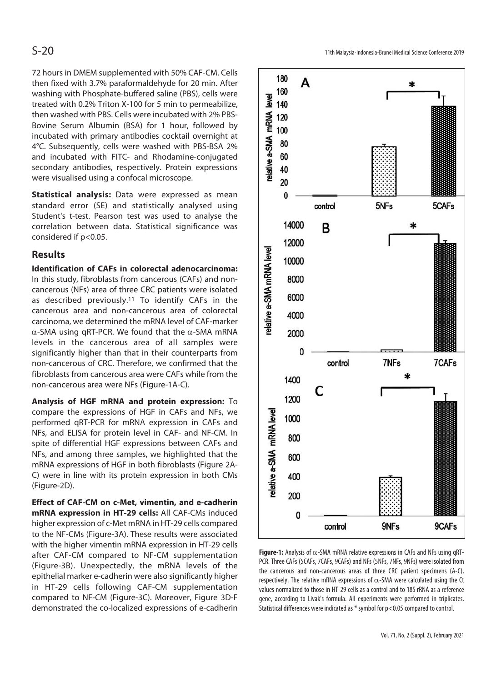72 hours in DMEM supplemented with 50% CAF-CM. Cells then fixed with 3.7% paraformaldehyde for 20 min. After washing with Phosphate-buffered saline (PBS), cells were treated with 0.2% Triton X-100 for 5 min to permeabilize, then washed with PBS. Cells were incubated with 2% PBS-Bovine Serum Albumin (BSA) for 1 hour, followed by incubated with primary antibodies cocktail overnight at 4°C. Subsequently, cells were washed with PBS-BSA 2% and incubated with FITC- and Rhodamine-conjugated secondary antibodies, respectively. Protein expressions were visualised using a confocal microscope.

**Statistical analysis:** Data were expressed as mean standard error (SE) and statistically analysed using Student's t-test. Pearson test was used to analyse the correlation between data. Statistical significance was considered if p<0.05.

## **Results**

**Identification of CAFs in colorectal adenocarcinoma:** In this study, fibroblasts from cancerous (CAFs) and noncancerous (NFs) area of three CRC patients were isolated as described previously.11 To identify CAFs in the cancerous area and non-cancerous area of colorectal carcinoma, we determined the mRNA level of CAF-marker α-SMA using qRT-PCR. We found that the α-SMA mRNA levels in the cancerous area of all samples were significantly higher than that in their counterparts from non-cancerous of CRC. Therefore, we confirmed that the fibroblasts from cancerous area were CAFs while from the non-cancerous area were NFs (Figure-1A-C).

**Analysis of HGF mRNA and protein expression:** To compare the expressions of HGF in CAFs and NFs, we performed qRT-PCR for mRNA expression in CAFs and NFs, and ELISA for protein level in CAF- and NF-CM. In spite of differential HGF expressions between CAFs and NFs, and among three samples, we highlighted that the mRNA expressions of HGF in both fibroblasts (Figure 2A-C) were in line with its protein expression in both CMs (Figure-2D).

**Effect of CAF-CM on c-Met, vimentin, and e-cadherin mRNA expression in HT-29 cells:** All CAF-CMs induced higher expression of c-Met mRNA in HT-29 cells compared to the NF-CMs (Figure-3A). These results were associated with the higher vimentin mRNA expression in HT-29 cells after CAF-CM compared to NF-CM supplementation (Figure-3B). Unexpectedly, the mRNA levels of the epithelial marker e-cadherin were also significantly higher in HT-29 cells following CAF-CM supplementation compared to NF-CM (Figure-3C). Moreover, Figure 3D-F demonstrated the co-localized expressions of e-cadherin



**Figure-1:** Analysis of α-SMA mRNA relative expressions in CAFs and NFs using qRT-PCR. Three CAFs (5CAFs, 7CAFs, 9CAFs) and NFs (5NFs, 7NFs, 9NFs) were isolated from the cancerous and non-cancerous areas of three CRC patient specimens (A-C), respectively. The relative mRNA expressions of  $\alpha$ -SMA were calculated using the Ct values normalized to those in HT-29 cells as a control and to 18S rRNA as a reference gene, according to Livak's formula. All experiments were performed in triplicates. Statistical differences were indicated as \* symbol for p<0.05 compared to control.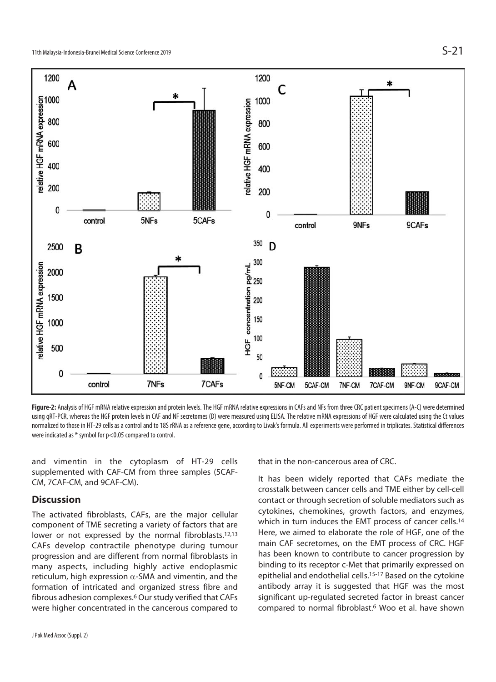

**Figure-2:** Analysis of HGF mRNA relative expression and protein levels. The HGF mRNA relative expressions in CAFs and NFs from three CRC patient specimens (A-C) were determined using qRT-PCR, whereas the HGF protein levels in CAF and NF secretomes (D) were measured using ELISA. The relative mRNA expressions of HGF were calculated using the Ct values normalized to those in HT-29 cells as a control and to 18S rRNA as a reference gene, according to Livak's formula. All experiments were performed in triplicates. Statistical differences were indicated as \* symbol for p<0.05 compared to control.

and vimentin in the cytoplasm of HT-29 cells supplemented with CAF-CM from three samples (5CAF-CM, 7CAF-CM, and 9CAF-CM).

## **Discussion**

The activated fibroblasts, CAFs, are the major cellular component of TME secreting a variety of factors that are lower or not expressed by the normal fibroblasts.<sup>12,13</sup> CAFs develop contractile phenotype during tumour progression and are different from normal fibroblasts in many aspects, including highly active endoplasmic reticulum, high expression  $\alpha$ -SMA and vimentin, and the formation of intricated and organized stress fibre and fibrous adhesion complexes.6 Our study verified that CAFs were higher concentrated in the cancerous compared to

J Pak Med Assoc (Suppl. 2)

that in the non-cancerous area of CRC.

It has been widely reported that CAFs mediate the crosstalk between cancer cells and TME either by cell-cell contact or through secretion of soluble mediators such as cytokines, chemokines, growth factors, and enzymes, which in turn induces the EMT process of cancer cells.<sup>14</sup> Here, we aimed to elaborate the role of HGF, one of the main CAF secretomes, on the EMT process of CRC. HGF has been known to contribute to cancer progression by binding to its receptor c-Met that primarily expressed on epithelial and endothelial cells.15-17 Based on the cytokine antibody array it is suggested that HGF was the most significant up-regulated secreted factor in breast cancer compared to normal fibroblast.6 Woo et al. have shown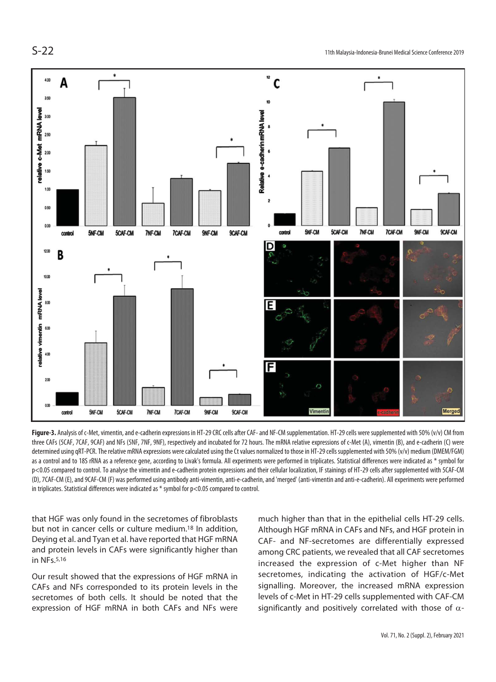

Figure-3. Analysis of c-Met, vimentin, and e-cadherin expressions in HT-29 CRC cells after CAF- and NF-CM supplementation. HT-29 cells were supplemented with 50% (v/v) CM from three CAFs (5CAF, 7CAF, 9CAF) and NFs (5NF, 7NF, 9NF), respectively and incubated for 72 hours. The mRNA relative expressions of c-Met (A), vimentin (B), and e-cadherin (C) were determined using qRT-PCR. The relative mRNA expressions were calculated using the Ct values normalized to those in HT-29 cells supplemented with 50% (v/v) medium (DMEM/FGM) as a control and to 18S rRNA as a reference gene, according to Livak's formula. All experiments were performed in triplicates. Statistical differences were indicated as \* symbol for p<0.05 compared to control. To analyse the vimentin and e-cadherin protein expressions and their cellular localization, IF stainings of HT-29 cells after supplemented with 5CAF-CM (D), 7CAF-CM (E), and 9CAF-CM (F) was performed using antibody anti-vimentin, anti-e-cadherin, and 'merged' (anti-vimentin and anti-e-cadherin). All experiments were performed in triplicates. Statistical differences were indicated as \* symbol for p<0.05 compared to control.

that HGF was only found in the secretomes of fibroblasts but not in cancer cells or culture medium.18 In addition, Deying et al. and Tyan et al. have reported that HGF mRNA and protein levels in CAFs were significantly higher than in NFs.5,16

Our result showed that the expressions of HGF mRNA in CAFs and NFs corresponded to its protein levels in the secretomes of both cells. It should be noted that the expression of HGF mRNA in both CAFs and NFs were much higher than that in the epithelial cells HT-29 cells. Although HGF mRNA in CAFs and NFs, and HGF protein in CAF- and NF-secretomes are differentially expressed among CRC patients, we revealed that all CAF secretomes increased the expression of c-Met higher than NF secretomes, indicating the activation of HGF/c-Met signalling. Moreover, the increased mRNA expression levels of c-Met in HT-29 cells supplemented with CAF-CM significantly and positively correlated with those of  $\alpha$ -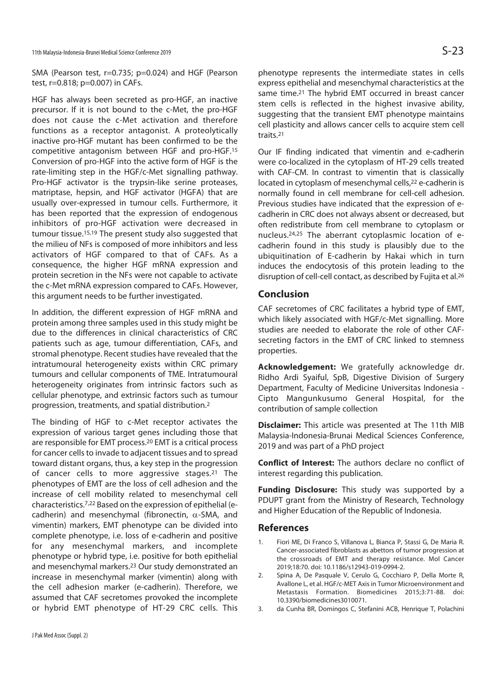SMA (Pearson test, r=0.735; p=0.024) and HGF (Pearson test, r=0.818; p=0.007) in CAFs.

HGF has always been secreted as pro-HGF, an inactive precursor. If it is not bound to the c-Met, the pro-HGF does not cause the c-Met activation and therefore functions as a receptor antagonist. A proteolytically inactive pro-HGF mutant has been confirmed to be the competitive antagonism between HGF and pro-HGF.15 Conversion of pro-HGF into the active form of HGF is the rate-limiting step in the HGF/c-Met signalling pathway. Pro-HGF activator is the trypsin-like serine proteases, matriptase, hepsin, and HGF activator (HGFA) that are usually over-expressed in tumour cells. Furthermore, it has been reported that the expression of endogenous inhibitors of pro-HGF activation were decreased in tumour tissue.15,19 The present study also suggested that the milieu of NFs is composed of more inhibitors and less activators of HGF compared to that of CAFs. As a consequence, the higher HGF mRNA expression and protein secretion in the NFs were not capable to activate the c-Met mRNA expression compared to CAFs. However, this argument needs to be further investigated.

In addition, the different expression of HGF mRNA and protein among three samples used in this study might be due to the differences in clinical characteristics of CRC patients such as age, tumour differentiation, CAFs, and stromal phenotype. Recent studies have revealed that the intratumoural heterogeneity exists within CRC primary tumours and cellular components of TME. Intratumoural heterogeneity originates from intrinsic factors such as cellular phenotype, and extrinsic factors such as tumour progression, treatments, and spatial distribution.2

The binding of HGF to c-Met receptor activates the expression of various target genes including those that are responsible for EMT process.20 EMT is a critical process for cancer cells to invade to adjacent tissues and to spread toward distant organs, thus, a key step in the progression of cancer cells to more aggressive stages.<sup>21</sup> The phenotypes of EMT are the loss of cell adhesion and the increase of cell mobility related to mesenchymal cell characteristics.7,22 Based on the expression of epithelial (ecadherin) and mesenchymal (fibronectin,  $\alpha$ -SMA, and vimentin) markers, EMT phenotype can be divided into complete phenotype, i.e. loss of e-cadherin and positive for any mesenchymal markers, and incomplete phenotype or hybrid type, i.e. positive for both epithelial and mesenchymal markers.23 Our study demonstrated an increase in mesenchymal marker (vimentin) along with the cell adhesion marker (e-cadherin). Therefore, we assumed that CAF secretomes provoked the incomplete or hybrid EMT phenotype of HT-29 CRC cells. This

phenotype represents the intermediate states in cells express epithelial and mesenchymal characteristics at the same time.21 The hybrid EMT occurred in breast cancer stem cells is reflected in the highest invasive ability, suggesting that the transient EMT phenotype maintains cell plasticity and allows cancer cells to acquire stem cell traits.21

Our IF finding indicated that vimentin and e-cadherin were co-localized in the cytoplasm of HT-29 cells treated with CAF-CM. In contrast to vimentin that is classically located in cytoplasm of mesenchymal cells,<sup>22</sup> e-cadherin is normally found in cell membrane for cell-cell adhesion. Previous studies have indicated that the expression of ecadherin in CRC does not always absent or decreased, but often redistribute from cell membrane to cytoplasm or nucleus.24,25 The aberrant cytoplasmic location of ecadherin found in this study is plausibly due to the ubiquitination of E-cadherin by Hakai which in turn induces the endocytosis of this protein leading to the disruption of cell-cell contact, as described by Fujita et al.26

## **Conclusion**

CAF secretomes of CRC facilitates a hybrid type of EMT, which likely associated with HGF/c-Met signalling. More studies are needed to elaborate the role of other CAFsecreting factors in the EMT of CRC linked to stemness properties.

**Acknowledgement:** We gratefully acknowledge dr. Ridho Ardi Syaiful, SpB, Digestive Division of Surgery Department, Faculty of Medicine Universitas Indonesia - Cipto Mangunkusumo General Hospital, for the contribution of sample collection

**Disclaimer:** This article was presented at The 11th MIB Malaysia-Indonesia-Brunai Medical Sciences Conference, 2019 and was part of a PhD project

**Conflict of Interest:** The authors declare no conflict of interest regarding this publication.

**Funding Disclosure:** This study was supported by a PDUPT grant from the Ministry of Research, Technology and Higher Education of the Republic of Indonesia.

### **References**

- 1. Fiori ME, Di Franco S, Villanova L, Bianca P, Stassi G, De Maria R. Cancer-associated fibroblasts as abettors of tumor progression at the crossroads of EMT and therapy resistance. Mol Cancer 2019;18:70. doi: 10.1186/s12943-019-0994-2.
- 2. Spina A, De Pasquale V, Cerulo G, Cocchiaro P, Della Morte R, Avallone L, et al. HGF/c-MET Axis in Tumor Microenvironment and Metastasis Formation. Biomedicines 2015;3:71-88. doi: 10.3390/biomedicines3010071.
- 3. da Cunha BR, Domingos C, Stefanini ACB, Henrique T, Polachini